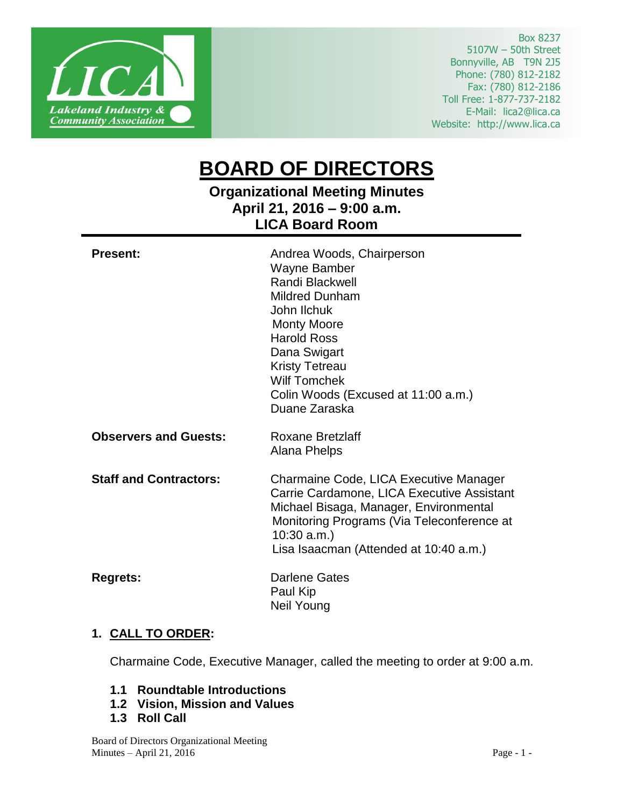

Box 8237 5107W – 50th Street Bonnyville, AB T9N 2J5 Phone: (780) 812-2182 Fax: (780) 812-2186 Toll Free: 1-877-737-2182 E-Mail: lica2@lica.ca Website: http://www.lica.ca

# **BOARD OF DIRECTORS**

# **Organizational Meeting Minutes April 21, 2016 – 9:00 a.m. LICA Board Room**

| <b>Present:</b>               | Andrea Woods, Chairperson<br>Wayne Bamber<br>Randi Blackwell<br><b>Mildred Dunham</b><br>John Ilchuk<br><b>Monty Moore</b><br><b>Harold Ross</b><br>Dana Swigart<br><b>Kristy Tetreau</b><br><b>Wilf Tomchek</b><br>Colin Woods (Excused at 11:00 a.m.)<br>Duane Zaraska |
|-------------------------------|--------------------------------------------------------------------------------------------------------------------------------------------------------------------------------------------------------------------------------------------------------------------------|
| <b>Observers and Guests:</b>  | <b>Roxane Bretzlaff</b><br>Alana Phelps                                                                                                                                                                                                                                  |
| <b>Staff and Contractors:</b> | Charmaine Code, LICA Executive Manager<br>Carrie Cardamone, LICA Executive Assistant<br>Michael Bisaga, Manager, Environmental<br>Monitoring Programs (Via Teleconference at<br>$10:30$ a.m.)<br>Lisa Isaacman (Attended at 10:40 a.m.)                                  |
| <b>Regrets:</b>               | Darlene Gates<br>Paul Kip<br>Neil Young                                                                                                                                                                                                                                  |

# **1. CALL TO ORDER:**

Charmaine Code, Executive Manager, called the meeting to order at 9:00 a.m.

- **1.1 Roundtable Introductions**
- **1.2 Vision, Mission and Values**
- **1.3 Roll Call**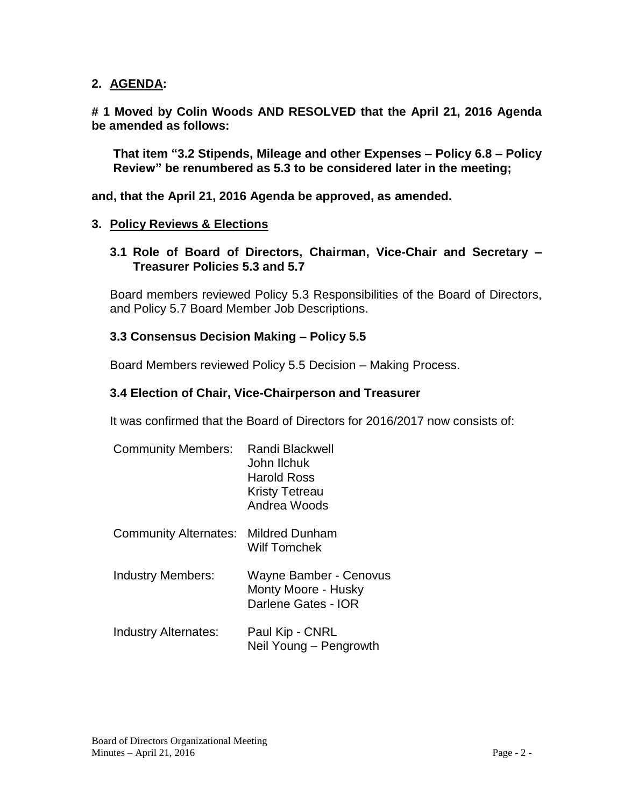#### **2. AGENDA:**

**# 1 Moved by Colin Woods AND RESOLVED that the April 21, 2016 Agenda be amended as follows:**

**That item "3.2 Stipends, Mileage and other Expenses – Policy 6.8 – Policy Review" be renumbered as 5.3 to be considered later in the meeting;**

**and, that the April 21, 2016 Agenda be approved, as amended.**

#### **3. Policy Reviews & Elections**

**3.1 Role of Board of Directors, Chairman, Vice-Chair and Secretary – Treasurer Policies 5.3 and 5.7**

Board members reviewed Policy 5.3 Responsibilities of the Board of Directors, and Policy 5.7 Board Member Job Descriptions.

#### **3.3 Consensus Decision Making – Policy 5.5**

Board Members reviewed Policy 5.5 Decision – Making Process.

#### **3.4 Election of Chair, Vice-Chairperson and Treasurer**

It was confirmed that the Board of Directors for 2016/2017 now consists of:

| <b>Community Members:</b>    | Randi Blackwell<br>John Ilchuk<br>Harold Ross<br><b>Kristy Tetreau</b><br>Andrea Woods |
|------------------------------|----------------------------------------------------------------------------------------|
| <b>Community Alternates:</b> | <b>Mildred Dunham</b><br><b>Wilf Tomchek</b>                                           |
| <b>Industry Members:</b>     | Wayne Bamber - Cenovus<br>Monty Moore - Husky<br>Darlene Gates - IOR                   |
| Industry Alternates:         | Paul Kip - CNRL<br>Neil Young - Pengrowth                                              |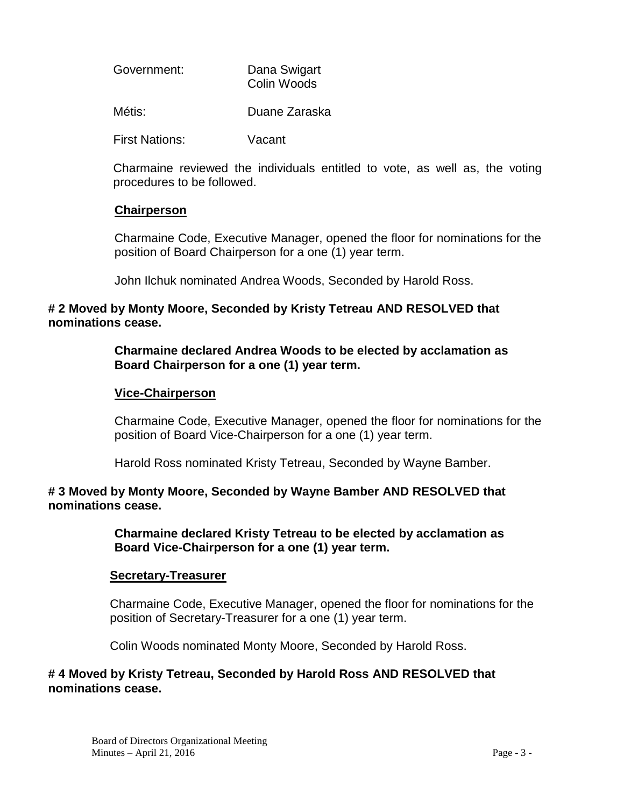| Government: | Dana Swigart |
|-------------|--------------|
|             | Colin Woods  |

Métis: Duane Zaraska

First Nations: Vacant

Charmaine reviewed the individuals entitled to vote, as well as, the voting procedures to be followed.

#### **Chairperson**

Charmaine Code, Executive Manager, opened the floor for nominations for the position of Board Chairperson for a one (1) year term.

John Ilchuk nominated Andrea Woods, Seconded by Harold Ross.

#### **# 2 Moved by Monty Moore, Seconded by Kristy Tetreau AND RESOLVED that nominations cease.**

#### **Charmaine declared Andrea Woods to be elected by acclamation as Board Chairperson for a one (1) year term.**

#### **Vice-Chairperson**

Charmaine Code, Executive Manager, opened the floor for nominations for the position of Board Vice-Chairperson for a one (1) year term.

Harold Ross nominated Kristy Tetreau, Seconded by Wayne Bamber.

#### **# 3 Moved by Monty Moore, Seconded by Wayne Bamber AND RESOLVED that nominations cease.**

**Charmaine declared Kristy Tetreau to be elected by acclamation as Board Vice-Chairperson for a one (1) year term.**

# **Secretary-Treasurer**

Charmaine Code, Executive Manager, opened the floor for nominations for the position of Secretary-Treasurer for a one (1) year term.

Colin Woods nominated Monty Moore, Seconded by Harold Ross.

#### **# 4 Moved by Kristy Tetreau, Seconded by Harold Ross AND RESOLVED that nominations cease.**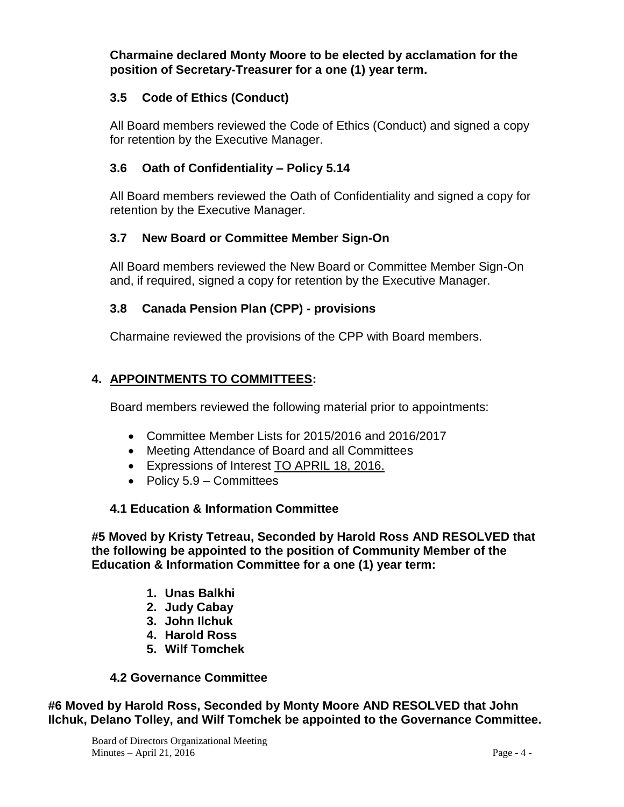**Charmaine declared Monty Moore to be elected by acclamation for the position of Secretary-Treasurer for a one (1) year term.**

# **3.5 Code of Ethics (Conduct)**

All Board members reviewed the Code of Ethics (Conduct) and signed a copy for retention by the Executive Manager.

#### **3.6 Oath of Confidentiality – Policy 5.14**

All Board members reviewed the Oath of Confidentiality and signed a copy for retention by the Executive Manager.

#### **3.7 New Board or Committee Member Sign-On**

All Board members reviewed the New Board or Committee Member Sign-On and, if required, signed a copy for retention by the Executive Manager.

#### **3.8 Canada Pension Plan (CPP) - provisions**

Charmaine reviewed the provisions of the CPP with Board members.

# **4. APPOINTMENTS TO COMMITTEES:**

Board members reviewed the following material prior to appointments:

- Committee Member Lists for 2015/2016 and 2016/2017
- Meeting Attendance of Board and all Committees
- Expressions of Interest TO APRIL 18, 2016.
- Policy  $5.9$  Committees

# **4.1 Education & Information Committee**

**#5 Moved by Kristy Tetreau, Seconded by Harold Ross AND RESOLVED that the following be appointed to the position of Community Member of the Education & Information Committee for a one (1) year term:**

- **1. Unas Balkhi**
- **2. Judy Cabay**
- **3. John Ilchuk**
- **4. Harold Ross**
- **5. Wilf Tomchek**

#### **4.2 Governance Committee**

**#6 Moved by Harold Ross, Seconded by Monty Moore AND RESOLVED that John Ilchuk, Delano Tolley, and Wilf Tomchek be appointed to the Governance Committee.**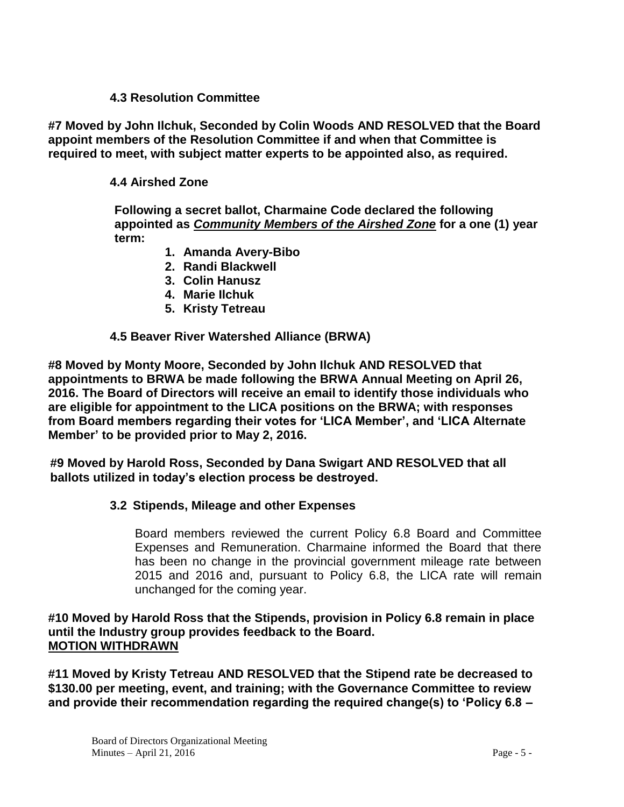#### **4.3 Resolution Committee**

**#7 Moved by John Ilchuk, Seconded by Colin Woods AND RESOLVED that the Board appoint members of the Resolution Committee if and when that Committee is required to meet, with subject matter experts to be appointed also, as required.**

# **4.4 Airshed Zone**

**Following a secret ballot, Charmaine Code declared the following appointed as** *Community Members of the Airshed Zone* **for a one (1) year term:**

- **1. Amanda Avery-Bibo**
- **2. Randi Blackwell**
- **3. Colin Hanusz**
- **4. Marie Ilchuk**
- **5. Kristy Tetreau**

#### **4.5 Beaver River Watershed Alliance (BRWA)**

**#8 Moved by Monty Moore, Seconded by John Ilchuk AND RESOLVED that appointments to BRWA be made following the BRWA Annual Meeting on April 26, 2016. The Board of Directors will receive an email to identify those individuals who are eligible for appointment to the LICA positions on the BRWA; with responses from Board members regarding their votes for 'LICA Member', and 'LICA Alternate Member' to be provided prior to May 2, 2016.** 

**#9 Moved by Harold Ross, Seconded by Dana Swigart AND RESOLVED that all ballots utilized in today's election process be destroyed.**

#### **3.2 Stipends, Mileage and other Expenses**

Board members reviewed the current Policy 6.8 Board and Committee Expenses and Remuneration. Charmaine informed the Board that there has been no change in the provincial government mileage rate between 2015 and 2016 and, pursuant to Policy 6.8, the LICA rate will remain unchanged for the coming year.

#### **#10 Moved by Harold Ross that the Stipends, provision in Policy 6.8 remain in place until the Industry group provides feedback to the Board. MOTION WITHDRAWN**

**#11 Moved by Kristy Tetreau AND RESOLVED that the Stipend rate be decreased to \$130.00 per meeting, event, and training; with the Governance Committee to review and provide their recommendation regarding the required change(s) to 'Policy 6.8 –**